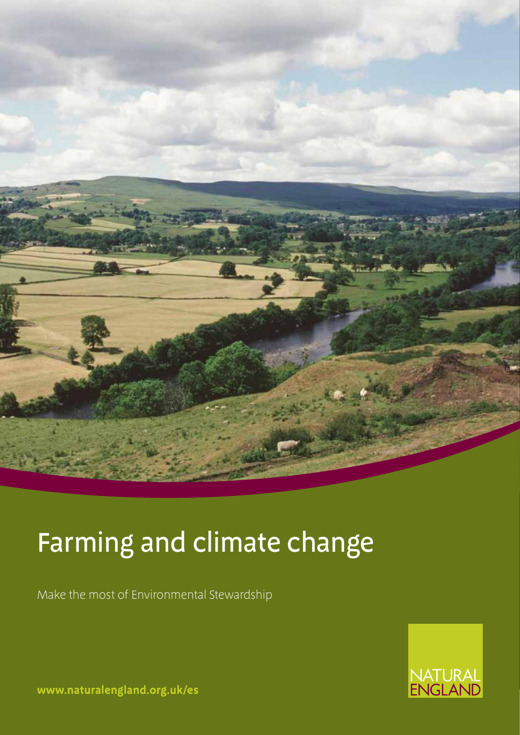

# Farming and climate change

Make the most of Environmental Stewardship



**www.naturalengland.org.uk/es**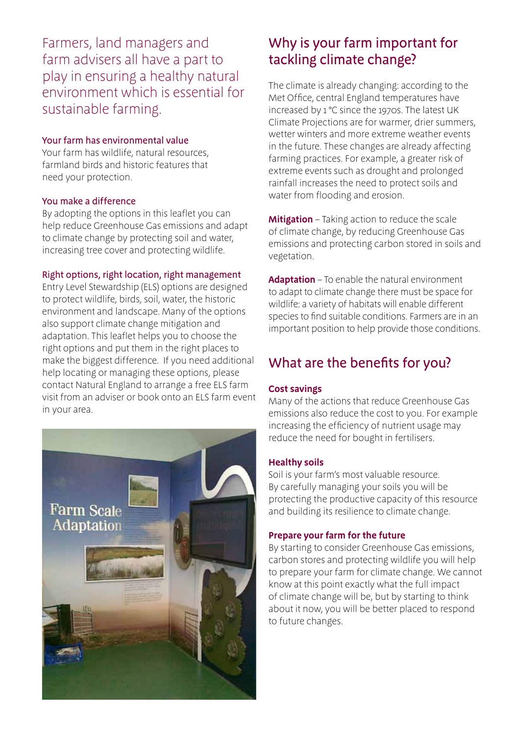Farmers, land managers and farm advisers all have a part to play in ensuring a healthy natural environment which is essential for sustainable farming.

## Your farm has environmental value

Your farm has wildlife, natural resources, farmland birds and historic features that need your protection.

## You make a difference

By adopting the options in this leaflet you can help reduce Greenhouse Gas emissions and adapt to climate change by protecting soil and water, increasing tree cover and protecting wildlife.

## Right options, right location, right management

Entry Level Stewardship (ELS) options are designed to protect wildlife, birds, soil, water, the historic environment and landscape. Many of the options also support climate change mitigation and adaptation. This leaflet helps you to choose the right options and put them in the right places to make the biggest difference. If you need additional help locating or managing these options, please contact Natural England to arrange a free ELS farm visit from an adviser or book onto an ELS farm event in your area.



# Why is your farm important for tackling climate change?

The climate is already changing: according to the Met Office, central England temperatures have increased by 1 °C since the 1970s. The latest UK Climate Projections are for warmer, drier summers, wetter winters and more extreme weather events in the future. These changes are already affecting farming practices. For example, a greater risk of extreme events such as drought and prolonged rainfall increases the need to protect soils and water from flooding and erosion.

**Mitigation** – Taking action to reduce the scale of climate change, by reducing Greenhouse Gas emissions and protecting carbon stored in soils and vegetation.

**Adaptation** – To enable the natural environment to adapt to climate change there must be space for wildlife: a variety of habitats will enable different species to find suitable conditions. Farmers are in an important position to help provide those conditions.

# What are the benefits for you?

## **Cost savings**

Many of the actions that reduce Greenhouse Gas emissions also reduce the cost to you. For example increasing the efficiency of nutrient usage may reduce the need for bought in fertilisers.

## **Healthy soils**

Soil is your farm's most valuable resource. By carefully managing your soils you will be protecting the productive capacity of this resource and building its resilience to climate change.

## **Prepare your farm for the future**

By starting to consider Greenhouse Gas emissions, carbon stores and protecting wildlife you will help to prepare your farm for climate change. We cannot know at this point exactly what the full impact of climate change will be, but by starting to think about it now, you will be better placed to respond to future changes.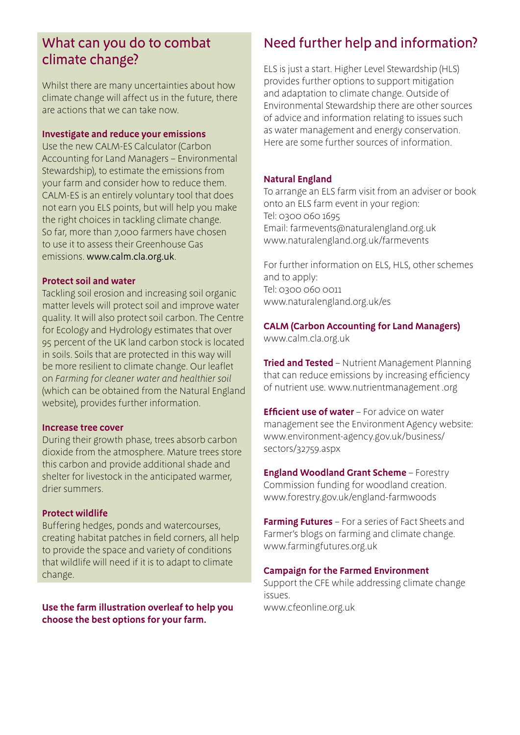## What can you do to combat climate change?

Whilst there are many uncertainties about how climate change will affect us in the future, there are actions that we can take now.

#### **Investigate and reduce your emissions**

Use the new CALM-ES Calculator (Carbon Accounting for Land Managers – Environmental Stewardship), to estimate the emissions from your farm and consider how to reduce them. CALM-ES is an entirely voluntary tool that does not earn you ELS points, but will help you make the right choices in tackling climate change. So far, more than 7,000 farmers have chosen to use it to assess their Greenhouse Gas emissions. www.calm.cla.org.uk.

#### **Protect soil and water**

Tackling soil erosion and increasing soil organic matter levels will protect soil and improve water quality. It will also protect soil carbon. The Centre for Ecology and Hydrology estimates that over 95 percent of the UK land carbon stock is located in soils. Soils that are protected in this way will be more resilient to climate change. Our leaflet on *Farming for cleaner water and healthier soil*  (which can be obtained from the Natural England website), provides further information.

#### **Increase tree cover**

During their growth phase, trees absorb carbon dioxide from the atmosphere. Mature trees store this carbon and provide additional shade and shelter for livestock in the anticipated warmer, drier summers.

## **Protect wildlife**

Buffering hedges, ponds and watercourses, creating habitat patches in field corners, all help to provide the space and variety of conditions that wildlife will need if it is to adapt to climate change.

**Use the farm illustration overleaf to help you choose the best options for your farm.** 

## Need further help and information?

ELS is just a start. Higher Level Stewardship (HLS) provides further options to support mitigation and adaptation to climate change. Outside of Environmental Stewardship there are other sources of advice and information relating to issues such as water management and energy conservation. Here are some further sources of information.

## **Natural England**

To arrange an ELS farm visit from an adviser or book onto an ELS farm event in your region: Tel: 0300 060 1695 Email: farmevents@naturalengland.org.uk www.naturalengland.org.uk/farmevents

For further information on ELS, HLS, other schemes and to apply: Tel: 0300 060 0011 www.naturalengland.org.uk/es

**CALM (Carbon Accounting for Land Managers)** www.calm.cla.org.uk

**Tried and Tested** – Nutrient Management Planning that can reduce emissions by increasing efficiency of nutrient use. www.nutrientmanagement .org

**Efficient use of water** – For advice on water management see the Environment Agency website: www.environment-agency.gov.uk/business/ sectors/32759.aspx

**England Woodland Grant Scheme** – Forestry Commission funding for woodland creation. www.forestry.gov.uk/england-farmwoods

**Farming Futures** – For a series of Fact Sheets and Farmer's blogs on farming and climate change. www.farmingfutures.org.uk

#### **Campaign for the Farmed Environment**

Support the CFE while addressing climate change issues. www.cfeonline.org.uk